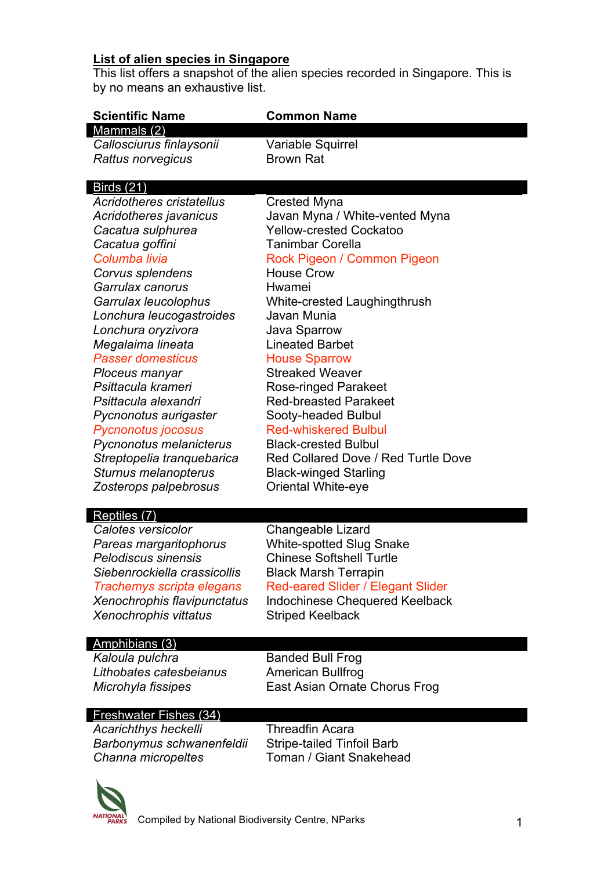## **List of alien species in Singapore**

This list offers a snapshot of the alien species recorded in Singapore. This is by no means an exhaustive list.

| <b>Scientific Name</b>           | <b>Common Name</b>                    |
|----------------------------------|---------------------------------------|
| Mammals (2)                      |                                       |
| Callosciurus finlaysonii         | Variable Squirrel                     |
| Rattus norvegicus                | <b>Brown Rat</b>                      |
| <b>Birds (21)</b>                |                                       |
| <b>Acridotheres cristatellus</b> | <b>Crested Myna</b>                   |
| Acridotheres javanicus           | Javan Myna / White-vented Myna        |
| Cacatua sulphurea                | <b>Yellow-crested Cockatoo</b>        |
| Cacatua goffini                  | <b>Tanimbar Corella</b>               |
| Columba livia                    | Rock Pigeon / Common Pigeon           |
| Corvus splendens                 | <b>House Crow</b>                     |
| Garrulax canorus                 | Hwamei                                |
| Garrulax leucolophus             | White-crested Laughingthrush          |
| Lonchura leucogastroides         | Javan Munia                           |
| Lonchura oryzivora               | Java Sparrow                          |
| Megalaima lineata                | <b>Lineated Barbet</b>                |
| <b>Passer domesticus</b>         | <b>House Sparrow</b>                  |
| Ploceus manyar                   | <b>Streaked Weaver</b>                |
| Psittacula krameri               | Rose-ringed Parakeet                  |
| Psittacula alexandri             | <b>Red-breasted Parakeet</b>          |
| Pycnonotus aurigaster            | Sooty-headed Bulbul                   |
| <b>Pycnonotus jocosus</b>        | <b>Red-whiskered Bulbul</b>           |
| Pycnonotus melanicterus          | <b>Black-crested Bulbul</b>           |
| Streptopelia tranquebarica       | Red Collared Dove / Red Turtle Dove   |
| Sturnus melanopterus             | <b>Black-winged Starling</b>          |
| Zosterops palpebrosus            | Oriental White-eye                    |
| Reptiles (7)                     |                                       |
| Calotes versicolor               | Changeable Lizard                     |
| Pareas margaritophorus           | <b>White-spotted Slug Snake</b>       |
| <b>Pelodiscus sinensis</b>       | <b>Chinese Softshell Turtle</b>       |
| Siebenrockiella crassicollis     | <b>Black Marsh Terrapin</b>           |
| Trachemys scripta elegans        | Red-eared Slider / Elegant Slider     |
| Xenochrophis flavipunctatus      | <b>Indochinese Chequered Keelback</b> |
| Xenochrophis vittatus            | <b>Striped Keelback</b>               |
| Amphibians (3)                   |                                       |
| Kaloula pulchra                  | <b>Banded Bull Frog</b>               |
| Lithobates catesbeianus          | <b>American Bullfrog</b>              |
| Microhyla fissipes               | East Asian Ornate Chorus Frog         |

## Freshwater Fishes (34)

*Acarichthys heckelli* Threadfin Acara *Barbonymus schwanenfeldii* Stripe-tailed Tinfoil Barb

**Toman / Giant Snakehead**